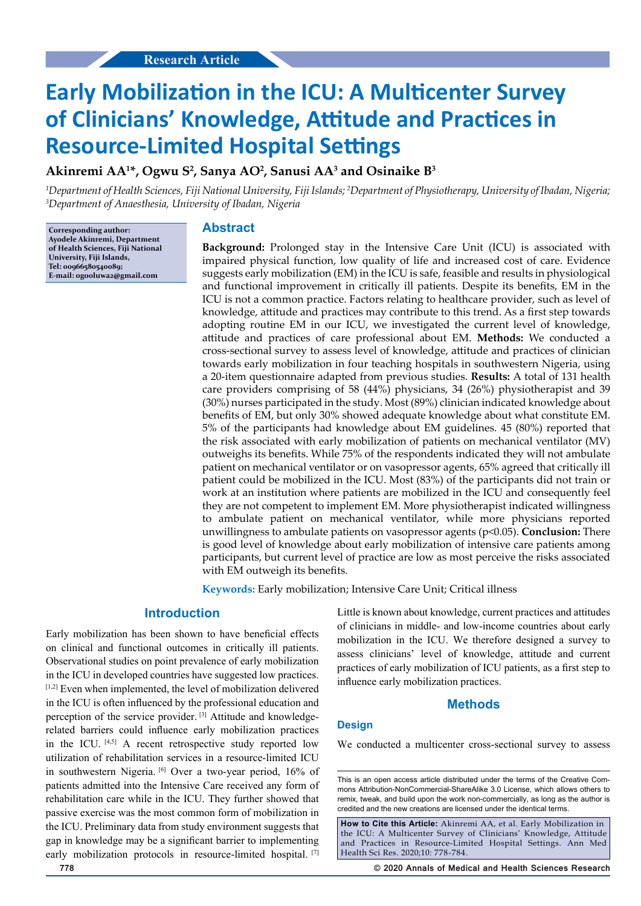# **Early Mobilization in the ICU: A Multicenter Survey of Clinicians' Knowledge, Attitude and Practices in Resource-Limited Hospital Settings**

**Akinremi AA1 \*, Ogwu S2 , Sanya AO2 , Sanusi AA3 and Osinaike B3**

<sup>1</sup>Department of Health Sciences, Fiji National University, Fiji Islands; <sup>2</sup>Department of Physiotherapy, University of Ibadan, Nigeria;<br><sup>3</sup>Department of Angesthesia, University of Ibadan, Nigeria *Department of Anaesthesia, University of Ibadan, Nigeria* 

**Corresponding author: Ayodele Akinremi, Department of Health Sciences, Fiji National University, Fiji Islands, Tel: 00966580540089; E-mail: ogooluwa2@gmail.com**

#### **Abstract**

**Background:** Prolonged stay in the Intensive Care Unit (ICU) is associated with impaired physical function, low quality of life and increased cost of care. Evidence suggests early mobilization (EM) in the ICU is safe, feasible and results in physiological and functional improvement in critically ill patients. Despite its benefits, EM in the ICU is not a common practice. Factors relating to healthcare provider, such as level of knowledge, attitude and practices may contribute to this trend. As a first step towards adopting routine EM in our ICU, we investigated the current level of knowledge, attitude and practices of care professional about EM. **Methods:** We conducted a cross-sectional survey to assess level of knowledge, attitude and practices of clinician towards early mobilization in four teaching hospitals in southwestern Nigeria, using a 20-item questionnaire adapted from previous studies. **Results:** A total of 131 health care providers comprising of 58 (44%) physicians, 34 (26%) physiotherapist and 39 (30%) nurses participated in the study. Most (89%) clinician indicated knowledge about benefits of EM, but only 30% showed adequate knowledge about what constitute EM. 5% of the participants had knowledge about EM guidelines. 45 (80%) reported that the risk associated with early mobilization of patients on mechanical ventilator (MV) outweighs its benefits. While 75% of the respondents indicated they will not ambulate patient on mechanical ventilator or on vasopressor agents, 65% agreed that critically ill patient could be mobilized in the ICU. Most (83%) of the participants did not train or work at an institution where patients are mobilized in the ICU and consequently feel they are not competent to implement EM. More physiotherapist indicated willingness to ambulate patient on mechanical ventilator, while more physicians reported unwillingness to ambulate patients on vasopressor agents (p<0.05). **Conclusion:** There is good level of knowledge about early mobilization of intensive care patients among participants, but current level of practice are low as most perceive the risks associated with EM outweigh its benefits.

**Keywords:** Early mobilization; Intensive Care Unit; Critical illness

# **Introduction**

Early mobilization has been shown to have beneficial effects on clinical and functional outcomes in critically ill patients. Observational studies on point prevalence of early mobilization in the ICU in developed countries have suggested low practices. [1,2] Even when implemented, the level of mobilization delivered in the ICU is often influenced by the professional education and perception of the service provider. [3] Attitude and knowledgerelated barriers could influence early mobilization practices in the ICU. [4,5] A recent retrospective study reported low utilization of rehabilitation services in a resource-limited ICU in southwestern Nigeria. [6] Over a two-year period, 16% of patients admitted into the Intensive Care received any form of rehabilitation care while in the ICU. They further showed that passive exercise was the most common form of mobilization in the ICU. Preliminary data from study environment suggests that gap in knowledge may be a significant barrier to implementing early mobilization protocols in resource-limited hospital. [7]

Little is known about knowledge, current practices and attitudes of clinicians in middle- and low-income countries about early mobilization in the ICU. We therefore designed a survey to assess clinicians' level of knowledge, attitude and current practices of early mobilization of ICU patients, as a first step to influence early mobilization practices.

#### **Methods**

#### **Design**

We conducted a multicenter cross-sectional survey to assess

**How to Cite this Article:** Akinremi AA, et al. Early Mobilization in the ICU: A Multicenter Survey of Clinicians' Knowledge, Attitude and Practices in Resource-Limited Hospital Settings. Ann Med Health Sci Res. 2020;10: 778-784.

**778 © 2020 Annals of Medical and Health Sciences Research** 

This is an open access article distributed under the terms of the Creative Com‑ mons Attribution‑NonCommercial‑ShareAlike 3.0 License, which allows others to remix, tweak, and build upon the work non‑commercially, as long as the author is credited and the new creations are licensed under the identical terms.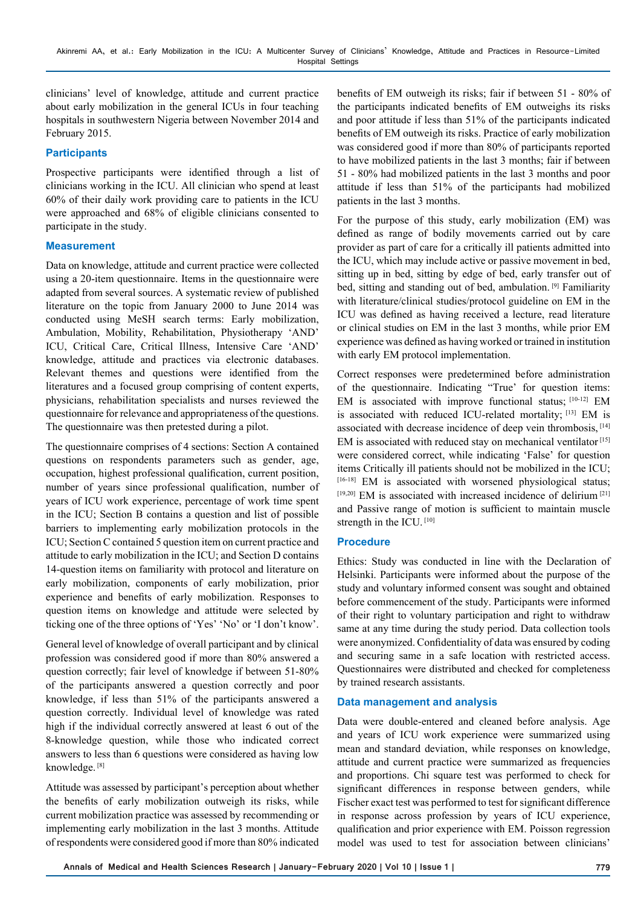clinicians' level of knowledge, attitude and current practice about early mobilization in the general ICUs in four teaching hospitals in southwestern Nigeria between November 2014 and February 2015.

## **Participants**

Prospective participants were identified through a list of clinicians working in the ICU. All clinician who spend at least 60% of their daily work providing care to patients in the ICU were approached and 68% of eligible clinicians consented to participate in the study.

## **Measurement**

Data on knowledge, attitude and current practice were collected using a 20-item questionnaire. Items in the questionnaire were adapted from several sources. A systematic review of published literature on the topic from January 2000 to June 2014 was conducted using MeSH search terms: Early mobilization, Ambulation, Mobility, Rehabilitation, Physiotherapy 'AND' ICU, Critical Care, Critical Illness, Intensive Care 'AND' knowledge, attitude and practices via electronic databases. Relevant themes and questions were identified from the literatures and a focused group comprising of content experts, physicians, rehabilitation specialists and nurses reviewed the questionnaire for relevance and appropriateness of the questions. The questionnaire was then pretested during a pilot.

The questionnaire comprises of 4 sections: Section A contained questions on respondents parameters such as gender, age, occupation, highest professional qualification, current position, number of years since professional qualification, number of years of ICU work experience, percentage of work time spent in the ICU; Section B contains a question and list of possible barriers to implementing early mobilization protocols in the ICU; Section C contained 5 question item on current practice and attitude to early mobilization in the ICU; and Section D contains 14-question items on familiarity with protocol and literature on early mobilization, components of early mobilization, prior experience and benefits of early mobilization. Responses to question items on knowledge and attitude were selected by ticking one of the three options of 'Yes' 'No' or 'I don't know'.

General level of knowledge of overall participant and by clinical profession was considered good if more than 80% answered a question correctly; fair level of knowledge if between 51-80% of the participants answered a question correctly and poor knowledge, if less than 51% of the participants answered a question correctly. Individual level of knowledge was rated high if the individual correctly answered at least 6 out of the 8-knowledge question, while those who indicated correct answers to less than 6 questions were considered as having low knowledge. [8]

Attitude was assessed by participant's perception about whether the benefits of early mobilization outweigh its risks, while current mobilization practice was assessed by recommending or implementing early mobilization in the last 3 months. Attitude of respondents were considered good if more than 80% indicated benefits of EM outweigh its risks; fair if between 51 - 80% of the participants indicated benefits of EM outweighs its risks and poor attitude if less than 51% of the participants indicated benefits of EM outweigh its risks. Practice of early mobilization was considered good if more than 80% of participants reported to have mobilized patients in the last 3 months; fair if between 51 - 80% had mobilized patients in the last 3 months and poor attitude if less than 51% of the participants had mobilized patients in the last 3 months.

For the purpose of this study, early mobilization (EM) was defined as range of bodily movements carried out by care provider as part of care for a critically ill patients admitted into the ICU, which may include active or passive movement in bed, sitting up in bed, sitting by edge of bed, early transfer out of bed, sitting and standing out of bed, ambulation. [9] Familiarity with literature/clinical studies/protocol guideline on EM in the ICU was defined as having received a lecture, read literature or clinical studies on EM in the last 3 months, while prior EM experience was defined as having worked or trained in institution with early EM protocol implementation.

Correct responses were predetermined before administration of the questionnaire. Indicating "True' for question items: EM is associated with improve functional status; [10-12] EM is associated with reduced ICU-related mortality; [13] EM is associated with decrease incidence of deep vein thrombosis, [14] EM is associated with reduced stay on mechanical ventilator<sup>[15]</sup> were considered correct, while indicating 'False' for question items Critically ill patients should not be mobilized in the ICU; [16-18] EM is associated with worsened physiological status; [19,20] EM is associated with increased incidence of delirium<sup>[21]</sup> and Passive range of motion is sufficient to maintain muscle strength in the ICU. [10]

## **Procedure**

Ethics: Study was conducted in line with the Declaration of Helsinki. Participants were informed about the purpose of the study and voluntary informed consent was sought and obtained before commencement of the study. Participants were informed of their right to voluntary participation and right to withdraw same at any time during the study period. Data collection tools were anonymized. Confidentiality of data was ensured by coding and securing same in a safe location with restricted access. Questionnaires were distributed and checked for completeness by trained research assistants.

## **Data management and analysis**

Data were double-entered and cleaned before analysis. Age and years of ICU work experience were summarized using mean and standard deviation, while responses on knowledge, attitude and current practice were summarized as frequencies and proportions. Chi square test was performed to check for significant differences in response between genders, while Fischer exact test was performed to test for significant difference in response across profession by years of ICU experience, qualification and prior experience with EM. Poisson regression model was used to test for association between clinicians'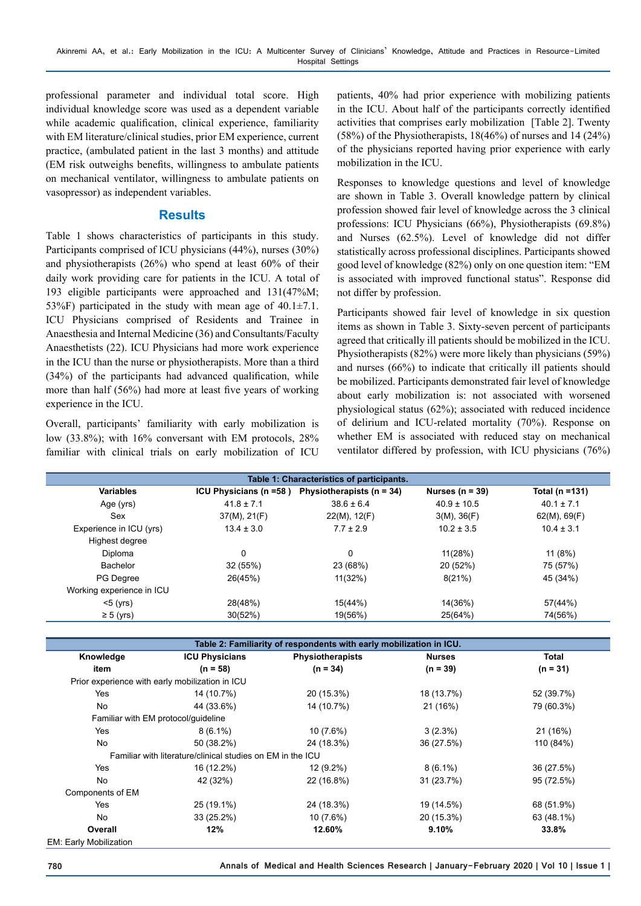professional parameter and individual total score. High individual knowledge score was used as a dependent variable while academic qualification, clinical experience, familiarity with EM literature/clinical studies, prior EM experience, current practice, (ambulated patient in the last 3 months) and attitude (EM risk outweighs benefits, willingness to ambulate patients on mechanical ventilator, willingness to ambulate patients on vasopressor) as independent variables.

## **Results**

Table 1 shows characteristics of participants in this study. Participants comprised of ICU physicians (44%), nurses (30%) and physiotherapists (26%) who spend at least 60% of their daily work providing care for patients in the ICU. A total of 193 eligible participants were approached and 131(47%M; 53%F) participated in the study with mean age of  $40.1 \pm 7.1$ . ICU Physicians comprised of Residents and Trainee in Anaesthesia and Internal Medicine (36) and Consultants/Faculty Anaesthetists (22). ICU Physicians had more work experience in the ICU than the nurse or physiotherapists. More than a third (34%) of the participants had advanced qualification, while more than half (56%) had more at least five years of working experience in the ICU.

Overall, participants' familiarity with early mobilization is low (33.8%); with 16% conversant with EM protocols, 28% familiar with clinical trials on early mobilization of ICU

patients, 40% had prior experience with mobilizing patients in the ICU. About half of the participants correctly identified activities that comprises early mobilization [Table 2]. Twenty (58%) of the Physiotherapists, 18(46%) of nurses and 14 (24%) of the physicians reported having prior experience with early mobilization in the ICU.

Responses to knowledge questions and level of knowledge are shown in Table 3. Overall knowledge pattern by clinical profession showed fair level of knowledge across the 3 clinical professions: ICU Physicians (66%), Physiotherapists (69.8%) and Nurses (62.5%). Level of knowledge did not differ statistically across professional disciplines. Participants showed good level of knowledge (82%) only on one question item: "EM is associated with improved functional status". Response did not differ by profession.

Participants showed fair level of knowledge in six question items as shown in Table 3. Sixty-seven percent of participants agreed that critically ill patients should be mobilized in the ICU. Physiotherapists (82%) were more likely than physicians (59%) and nurses (66%) to indicate that critically ill patients should be mobilized. Participants demonstrated fair level of knowledge about early mobilization is: not associated with worsened physiological status (62%); associated with reduced incidence of delirium and ICU-related mortality (70%). Response on whether EM is associated with reduced stay on mechanical ventilator differed by profession, with ICU physicians (76%)

| Table 1: Characteristics of participants. |                        |                               |                     |                |  |  |
|-------------------------------------------|------------------------|-------------------------------|---------------------|----------------|--|--|
| <b>Variables</b>                          | ICU Physicians (n =58) | Physiotherapists ( $n = 34$ ) | Nurses ( $n = 39$ ) | Total (n =131) |  |  |
| Age (yrs)                                 | $41.8 \pm 7.1$         | $38.6 \pm 6.4$                | $40.9 \pm 10.5$     | $40.1 \pm 7.1$ |  |  |
| Sex                                       | 37(M), 21(F)           | $22(M)$ , 12(F)               | 3(M), 36(F)         | 62(M), 69(F)   |  |  |
| Experience in ICU (yrs)                   | $13.4 \pm 3.0$         | $7.7 \pm 2.9$                 | $10.2 \pm 3.5$      | $10.4 \pm 3.1$ |  |  |
| Highest degree                            |                        |                               |                     |                |  |  |
| <b>Diploma</b>                            | 0                      | 0                             | 11(28%)             | 11(8%)         |  |  |
| Bachelor                                  | 32 (55%)               | 23 (68%)                      | 20 (52%)            | 75 (57%)       |  |  |
| PG Degree                                 | 26(45%)                | 11(32%)                       | 8(21%)              | 45 (34%)       |  |  |
| Working experience in ICU                 |                        |                               |                     |                |  |  |
| $<$ 5 ( $\sqrt{rs}$ )                     | 28(48%)                | 15(44%)                       | 14(36%)             | 57(44%)        |  |  |
| $\geq 5$ (yrs)                            | 30(52%)                | 19(56%)                       | 25(64%)             | 74(56%)        |  |  |

| Table 2: Familiarity of respondents with early mobilization in ICU. |                                                            |                         |               |            |  |
|---------------------------------------------------------------------|------------------------------------------------------------|-------------------------|---------------|------------|--|
| Knowledge                                                           | <b>ICU Physicians</b>                                      |                         | <b>Nurses</b> | Total      |  |
|                                                                     |                                                            | <b>Physiotherapists</b> |               |            |  |
| item                                                                | $(n = 58)$                                                 | $(n = 34)$              | $(n = 39)$    | $(n = 31)$ |  |
| Prior experience with early mobilization in ICU                     |                                                            |                         |               |            |  |
| Yes                                                                 | 14 (10.7%)                                                 | 20 (15.3%)              | 18 (13.7%)    | 52 (39.7%) |  |
| No                                                                  | 44 (33.6%)                                                 | 14 (10.7%)              | 21 (16%)      | 79 (60.3%) |  |
| Familiar with EM protocol/quideline                                 |                                                            |                         |               |            |  |
| Yes                                                                 | $8(6.1\%)$                                                 | $10(7.6\%)$             | $3(2.3\%)$    | 21 (16%)   |  |
| No                                                                  | 50 (38.2%)                                                 | 24 (18.3%)              | 36 (27.5%)    | 110 (84%)  |  |
|                                                                     | Familiar with literature/clinical studies on EM in the ICU |                         |               |            |  |
| Yes                                                                 | 16 (12.2%)                                                 | 12 (9.2%)               | $8(6.1\%)$    | 36 (27.5%) |  |
| No                                                                  | 42 (32%)                                                   | 22 (16.8%)              | 31 (23.7%)    | 95 (72.5%) |  |
| Components of EM                                                    |                                                            |                         |               |            |  |
| Yes                                                                 | 25 (19.1%)                                                 | 24 (18.3%)              | 19 (14.5%)    | 68 (51.9%) |  |
| No                                                                  | 33 (25.2%)                                                 | 10 (7.6%)               | 20 (15.3%)    | 63 (48.1%) |  |
| Overall                                                             | 12%                                                        | 12.60%                  | 9.10%         | 33.8%      |  |
| <b>EM: Early Mobilization</b>                                       |                                                            |                         |               |            |  |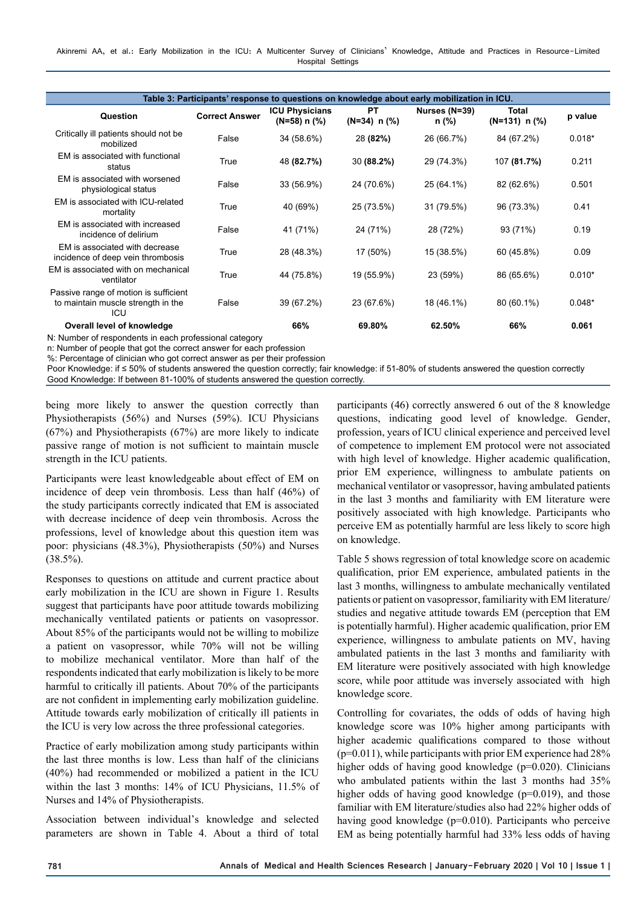| Table 3: Participants' response to questions on knowledge about early mobilization in ICU. |                       |                                            |                                |                        |                                    |          |
|--------------------------------------------------------------------------------------------|-----------------------|--------------------------------------------|--------------------------------|------------------------|------------------------------------|----------|
| Question                                                                                   | <b>Correct Answer</b> | <b>ICU Physicians</b><br>$(N=58)$ n $(\%)$ | <b>PT</b><br>$(N=34)$ n $(\%)$ | Nurses (N=39)<br>n (%) | <b>Total</b><br>$(N=131)$ n $(\%)$ | p value  |
| Critically ill patients should not be<br>mobilized                                         | False                 | 34 (58.6%)                                 | 28 (82%)                       | 26 (66.7%)             | 84 (67.2%)                         | $0.018*$ |
| EM is associated with functional<br>status                                                 | True                  | 48 (82.7%)                                 | 30 (88.2%)                     | 29 (74.3%)             | 107 (81.7%)                        | 0.211    |
| EM is associated with worsened<br>physiological status                                     | False                 | 33 (56.9%)                                 | 24 (70.6%)                     | 25 (64.1%)             | 82 (62.6%)                         | 0.501    |
| EM is associated with ICU-related<br>mortality                                             | True                  | 40 (69%)                                   | 25 (73.5%)                     | 31 (79.5%)             | 96 (73.3%)                         | 0.41     |
| EM is associated with increased<br>incidence of delirium                                   | False                 | 41 (71%)                                   | 24 (71%)                       | 28 (72%)               | 93 (71%)                           | 0.19     |
| EM is associated with decrease<br>incidence of deep vein thrombosis                        | True                  | 28 (48.3%)                                 | 17 (50%)                       | 15 (38.5%)             | 60 (45.8%)                         | 0.09     |
| EM is associated with on mechanical<br>ventilator                                          | True                  | 44 (75.8%)                                 | 19 (55.9%)                     | 23 (59%)               | 86 (65.6%)                         | $0.010*$ |
| Passive range of motion is sufficient<br>to maintain muscle strength in the<br>ICU         | False                 | 39 (67.2%)                                 | 23 (67.6%)                     | 18 (46.1%)             | 80 (60.1%)                         | $0.048*$ |
| Overall level of knowledge                                                                 |                       | 66%                                        | 69.80%                         | 62.50%                 | 66%                                | 0.061    |
| N: Number of respondents in each professional category                                     |                       |                                            |                                |                        |                                    |          |

N: Number of respondents in each professional category

n: Number of people that got the correct answer for each profession

%: Percentage of clinician who got correct answer as per their profession

Poor Knowledge: if ≤ 50% of students answered the question correctly; fair knowledge: if 51-80% of students answered the question correctly Good Knowledge: If between 81-100% of students answered the question correctly.

being more likely to answer the question correctly than Physiotherapists (56%) and Nurses (59%). ICU Physicians (67%) and Physiotherapists (67%) are more likely to indicate passive range of motion is not sufficient to maintain muscle strength in the ICU patients.

Participants were least knowledgeable about effect of EM on incidence of deep vein thrombosis. Less than half (46%) of the study participants correctly indicated that EM is associated with decrease incidence of deep vein thrombosis. Across the professions, level of knowledge about this question item was poor: physicians (48.3%), Physiotherapists (50%) and Nurses  $(38.5\%)$ .

Responses to questions on attitude and current practice about early mobilization in the ICU are shown in Figure 1. Results suggest that participants have poor attitude towards mobilizing mechanically ventilated patients or patients on vasopressor. About 85% of the participants would not be willing to mobilize a patient on vasopressor, while 70% will not be willing to mobilize mechanical ventilator. More than half of the respondents indicated that early mobilization is likely to be more harmful to critically ill patients. About 70% of the participants are not confident in implementing early mobilization guideline. Attitude towards early mobilization of critically ill patients in the ICU is very low across the three professional categories.

Practice of early mobilization among study participants within the last three months is low. Less than half of the clinicians (40%) had recommended or mobilized a patient in the ICU within the last 3 months: 14% of ICU Physicians, 11.5% of Nurses and 14% of Physiotherapists.

Association between individual's knowledge and selected parameters are shown in Table 4. About a third of total participants (46) correctly answered 6 out of the 8 knowledge questions, indicating good level of knowledge. Gender, profession, years of ICU clinical experience and perceived level of competence to implement EM protocol were not associated with high level of knowledge. Higher academic qualification, prior EM experience, willingness to ambulate patients on mechanical ventilator or vasopressor, having ambulated patients in the last 3 months and familiarity with EM literature were positively associated with high knowledge. Participants who perceive EM as potentially harmful are less likely to score high on knowledge.

Table 5 shows regression of total knowledge score on academic qualification, prior EM experience, ambulated patients in the last 3 months, willingness to ambulate mechanically ventilated patients or patient on vasopressor, familiarity with EM literature/ studies and negative attitude towards EM (perception that EM is potentially harmful). Higher academic qualification, prior EM experience, willingness to ambulate patients on MV, having ambulated patients in the last 3 months and familiarity with EM literature were positively associated with high knowledge score, while poor attitude was inversely associated with high knowledge score.

Controlling for covariates, the odds of odds of having high knowledge score was 10% higher among participants with higher academic qualifications compared to those without  $(p=0.011)$ , while participants with prior EM experience had 28% higher odds of having good knowledge (p=0.020). Clinicians who ambulated patients within the last 3 months had 35% higher odds of having good knowledge (p=0.019), and those familiar with EM literature/studies also had 22% higher odds of having good knowledge (p=0.010). Participants who perceive EM as being potentially harmful had 33% less odds of having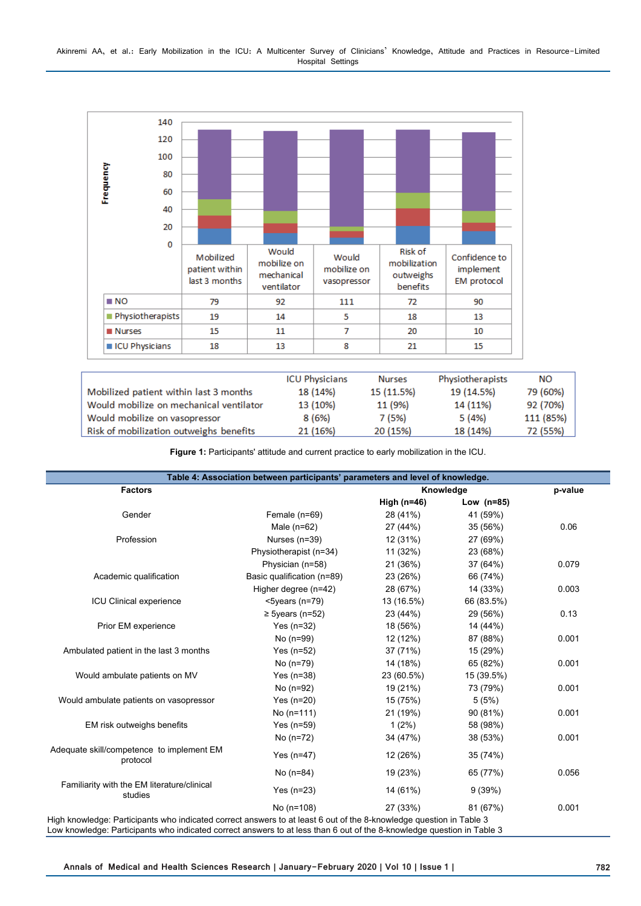

|                                         | <b>ICU Physicians</b> | <b>Nurses</b> | Physiotherapists | NΟ        |
|-----------------------------------------|-----------------------|---------------|------------------|-----------|
| Mobilized patient within last 3 months  | 18 (14%)              | 15 (11.5%)    | 19 (14.5%)       | 79 (60%)  |
| Would mobilize on mechanical ventilator | 13 (10%)              | 11 (9%)       | 14 (11%)         | 92 (70%)  |
| Would mobilize on vasopressor           | 8 (6%)                | 7 (5%)        | 5 (4%)           | 111 (85%) |
| Risk of mobilization outweighs benefits | 21 (16%)              | 20 (15%)      | 18 (14%)         | 72 (55%)  |

**Figure 1:** Participants' attitude and current practice to early mobilization in the ICU.

| <b>Factors</b>                                         |                            | Knowledge     |              | p-value |
|--------------------------------------------------------|----------------------------|---------------|--------------|---------|
|                                                        |                            | High $(n=46)$ | Low $(n=85)$ |         |
| Gender                                                 | Female (n=69)              | 28 (41%)      | 41 (59%)     |         |
|                                                        | Male $(n=62)$              | 27 (44%)      | 35 (56%)     | 0.06    |
| Profession                                             | Nurses (n=39)              | 12 (31%)      | 27 (69%)     |         |
|                                                        | Physiotherapist (n=34)     | 11 (32%)      | 23 (68%)     |         |
|                                                        | Physician (n=58)           | 21 (36%)      | 37 (64%)     | 0.079   |
| Academic qualification                                 | Basic qualification (n=89) | 23 (26%)      | 66 (74%)     |         |
|                                                        | Higher degree (n=42)       | 28 (67%)      | 14 (33%)     | 0.003   |
| ICU Clinical experience                                | $<$ 5years (n=79)          | 13 (16.5%)    | 66 (83.5%)   |         |
|                                                        | $\geq$ 5years (n=52)       | 23 (44%)      | 29 (56%)     | 0.13    |
| Prior EM experience                                    | Yes $(n=32)$               | 18 (56%)      | 14 (44%)     |         |
|                                                        | No (n=99)                  | 12 (12%)      | 87 (88%)     | 0.001   |
| Ambulated patient in the last 3 months                 | Yes $(n=52)$               | 37 (71%)      | 15 (29%)     |         |
|                                                        | No (n=79)                  | 14 (18%)      | 65 (82%)     | 0.001   |
| Would ambulate patients on MV                          | Yes $(n=38)$               | 23 (60.5%)    | 15 (39.5%)   |         |
|                                                        | No (n=92)                  | 19 (21%)      | 73 (79%)     | 0.001   |
| Would ambulate patients on vasopressor                 | Yes $(n=20)$               | 15 (75%)      | 5(5%)        |         |
|                                                        | No $(n=111)$               | 21 (19%)      | 90 (81%)     | 0.001   |
| EM risk outweighs benefits                             | Yes $(n=59)$               | $1(2\%)$      | 58 (98%)     |         |
|                                                        | No (n=72)                  | 34 (47%)      | 38 (53%)     | 0.001   |
| Adequate skill/competence to implement EM<br>protocol  | Yes $(n=47)$               | 12 (26%)      | 35 (74%)     |         |
|                                                        | No (n=84)                  | 19 (23%)      | 65 (77%)     | 0.056   |
| Familiarity with the EM literature/clinical<br>studies | Yes $(n=23)$               | 14 (61%)      | 9(39%)       |         |
|                                                        | No $(n=108)$               | 27 (33%)      | 81 (67%)     | 0.001   |

**Annals of Medical and Health Sciences Research | January-February 2020 | Vol 10 | Issue 1 | 782**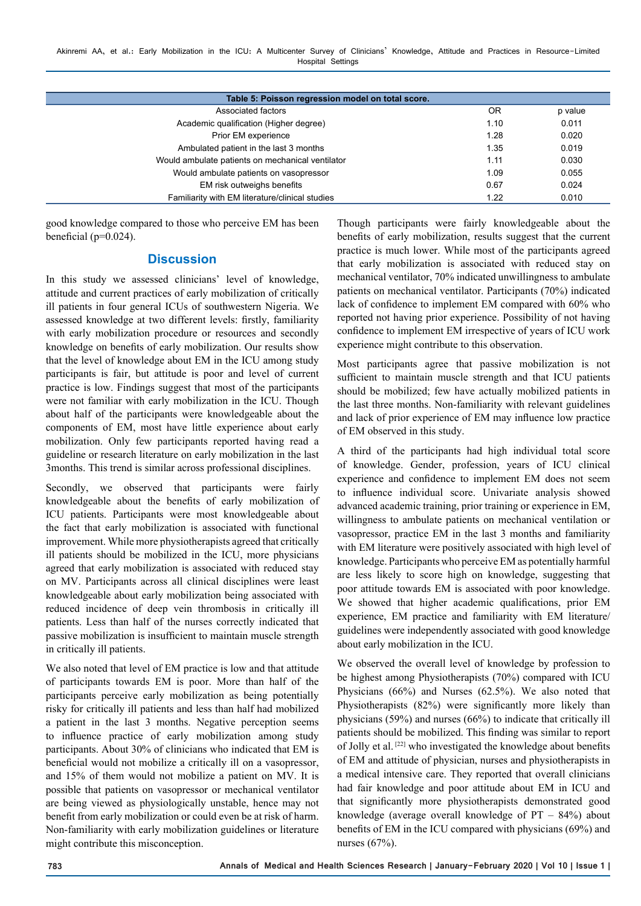| Table 5: Poisson regression model on total score. |                |         |  |  |
|---------------------------------------------------|----------------|---------|--|--|
| Associated factors                                | 0 <sub>R</sub> | p value |  |  |
| Academic qualification (Higher degree)            | 1.10           | 0.011   |  |  |
| Prior EM experience                               | 1.28           | 0.020   |  |  |
| Ambulated patient in the last 3 months            | 1.35           | 0.019   |  |  |
| Would ambulate patients on mechanical ventilator  | 1.11           | 0.030   |  |  |
| Would ambulate patients on vasopressor            | 1.09           | 0.055   |  |  |
| EM risk outweighs benefits                        | 0.67           | 0.024   |  |  |
| Familiarity with EM literature/clinical studies   | 1.22           | 0.010   |  |  |
|                                                   |                |         |  |  |

good knowledge compared to those who perceive EM has been beneficial ( $p=0.024$ ).

## **Discussion**

In this study we assessed clinicians' level of knowledge, attitude and current practices of early mobilization of critically ill patients in four general ICUs of southwestern Nigeria. We assessed knowledge at two different levels: firstly, familiarity with early mobilization procedure or resources and secondly knowledge on benefits of early mobilization. Our results show that the level of knowledge about EM in the ICU among study participants is fair, but attitude is poor and level of current practice is low. Findings suggest that most of the participants were not familiar with early mobilization in the ICU. Though about half of the participants were knowledgeable about the components of EM, most have little experience about early mobilization. Only few participants reported having read a guideline or research literature on early mobilization in the last 3months. This trend is similar across professional disciplines.

Secondly, we observed that participants were fairly knowledgeable about the benefits of early mobilization of ICU patients. Participants were most knowledgeable about the fact that early mobilization is associated with functional improvement. While more physiotherapists agreed that critically ill patients should be mobilized in the ICU, more physicians agreed that early mobilization is associated with reduced stay on MV. Participants across all clinical disciplines were least knowledgeable about early mobilization being associated with reduced incidence of deep vein thrombosis in critically ill patients. Less than half of the nurses correctly indicated that passive mobilization is insufficient to maintain muscle strength in critically ill patients.

We also noted that level of EM practice is low and that attitude of participants towards EM is poor. More than half of the participants perceive early mobilization as being potentially risky for critically ill patients and less than half had mobilized a patient in the last 3 months. Negative perception seems to influence practice of early mobilization among study participants. About 30% of clinicians who indicated that EM is beneficial would not mobilize a critically ill on a vasopressor, and 15% of them would not mobilize a patient on MV. It is possible that patients on vasopressor or mechanical ventilator are being viewed as physiologically unstable, hence may not benefit from early mobilization or could even be at risk of harm. Non-familiarity with early mobilization guidelines or literature might contribute this misconception.

Though participants were fairly knowledgeable about the benefits of early mobilization, results suggest that the current practice is much lower. While most of the participants agreed that early mobilization is associated with reduced stay on mechanical ventilator, 70% indicated unwillingness to ambulate patients on mechanical ventilator. Participants (70%) indicated lack of confidence to implement EM compared with 60% who reported not having prior experience. Possibility of not having confidence to implement EM irrespective of years of ICU work experience might contribute to this observation.

Most participants agree that passive mobilization is not sufficient to maintain muscle strength and that ICU patients should be mobilized; few have actually mobilized patients in the last three months. Non-familiarity with relevant guidelines and lack of prior experience of EM may influence low practice of EM observed in this study.

A third of the participants had high individual total score of knowledge. Gender, profession, years of ICU clinical experience and confidence to implement EM does not seem to influence individual score. Univariate analysis showed advanced academic training, prior training or experience in EM, willingness to ambulate patients on mechanical ventilation or vasopressor, practice EM in the last 3 months and familiarity with EM literature were positively associated with high level of knowledge. Participants who perceive EM as potentially harmful are less likely to score high on knowledge, suggesting that poor attitude towards EM is associated with poor knowledge. We showed that higher academic qualifications, prior EM experience, EM practice and familiarity with EM literature/ guidelines were independently associated with good knowledge about early mobilization in the ICU.

We observed the overall level of knowledge by profession to be highest among Physiotherapists (70%) compared with ICU Physicians (66%) and Nurses (62.5%). We also noted that Physiotherapists (82%) were significantly more likely than physicians (59%) and nurses (66%) to indicate that critically ill patients should be mobilized. This finding was similar to report of Jolly et al. [22] who investigated the knowledge about benefits of EM and attitude of physician, nurses and physiotherapists in a medical intensive care. They reported that overall clinicians had fair knowledge and poor attitude about EM in ICU and that significantly more physiotherapists demonstrated good knowledge (average overall knowledge of  $PT - 84\%$ ) about benefits of EM in the ICU compared with physicians (69%) and nurses (67%).